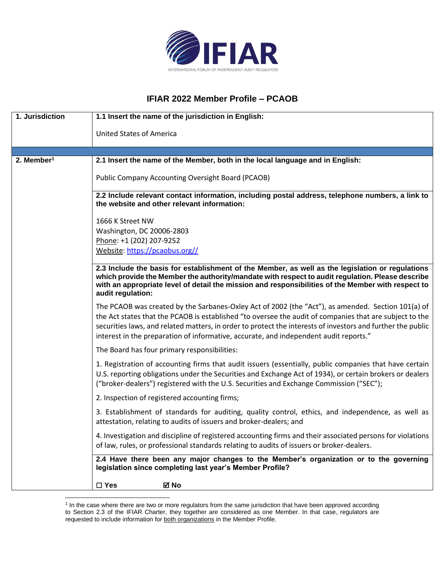

## **IFIAR 2022 Member Profile – PCAOB**

| 1. Jurisdiction        | 1.1 Insert the name of the jurisdiction in English:                                                                                                                                                                                                                                                                                                                                                                   |
|------------------------|-----------------------------------------------------------------------------------------------------------------------------------------------------------------------------------------------------------------------------------------------------------------------------------------------------------------------------------------------------------------------------------------------------------------------|
|                        | <b>United States of America</b>                                                                                                                                                                                                                                                                                                                                                                                       |
|                        |                                                                                                                                                                                                                                                                                                                                                                                                                       |
| 2. Member <sup>1</sup> | 2.1 Insert the name of the Member, both in the local language and in English:                                                                                                                                                                                                                                                                                                                                         |
|                        | Public Company Accounting Oversight Board (PCAOB)                                                                                                                                                                                                                                                                                                                                                                     |
|                        | 2.2 Include relevant contact information, including postal address, telephone numbers, a link to<br>the website and other relevant information:                                                                                                                                                                                                                                                                       |
|                        | 1666 K Street NW                                                                                                                                                                                                                                                                                                                                                                                                      |
|                        | Washington, DC 20006-2803                                                                                                                                                                                                                                                                                                                                                                                             |
|                        | Phone: +1 (202) 207-9252                                                                                                                                                                                                                                                                                                                                                                                              |
|                        | Website: https://pcaobus.org//                                                                                                                                                                                                                                                                                                                                                                                        |
|                        | 2.3 Include the basis for establishment of the Member, as well as the legislation or regulations<br>which provide the Member the authority/mandate with respect to audit regulation. Please describe<br>with an appropriate level of detail the mission and responsibilities of the Member with respect to<br>audit regulation:                                                                                       |
|                        | The PCAOB was created by the Sarbanes-Oxley Act of 2002 (the "Act"), as amended. Section 101(a) of<br>the Act states that the PCAOB is established "to oversee the audit of companies that are subject to the<br>securities laws, and related matters, in order to protect the interests of investors and further the public<br>interest in the preparation of informative, accurate, and independent audit reports." |
|                        | The Board has four primary responsibilities:                                                                                                                                                                                                                                                                                                                                                                          |
|                        | 1. Registration of accounting firms that audit issuers (essentially, public companies that have certain<br>U.S. reporting obligations under the Securities and Exchange Act of 1934), or certain brokers or dealers<br>("broker-dealers") registered with the U.S. Securities and Exchange Commission ("SEC");                                                                                                        |
|                        | 2. Inspection of registered accounting firms;                                                                                                                                                                                                                                                                                                                                                                         |
|                        | 3. Establishment of standards for auditing, quality control, ethics, and independence, as well as<br>attestation, relating to audits of issuers and broker-dealers; and                                                                                                                                                                                                                                               |
|                        | 4. Investigation and discipline of registered accounting firms and their associated persons for violations<br>of law, rules, or professional standards relating to audits of issuers or broker-dealers.                                                                                                                                                                                                               |
|                        | 2.4 Have there been any major changes to the Member's organization or to the governing<br>legislation since completing last year's Member Profile?                                                                                                                                                                                                                                                                    |
|                        | $\square$ Yes<br>⊠ No                                                                                                                                                                                                                                                                                                                                                                                                 |

<sup>&</sup>lt;sup>1</sup> In the case where there are two or more regulators from the same jurisdiction that have been approved according to Section 2.3 of the IFIAR Charter, they together are considered as one Member. In that case, regulators are requested to include information for both organizations in the Member Profile.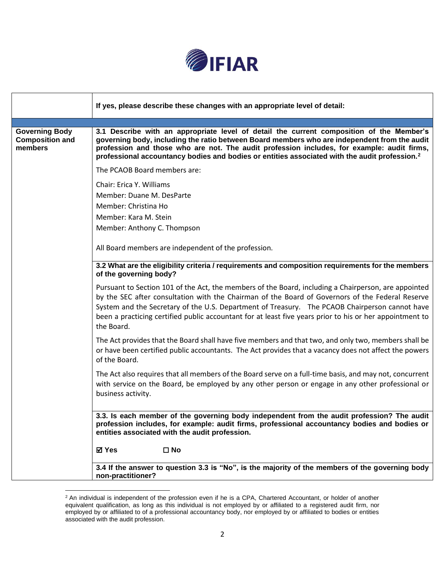

|                                                            | If yes, please describe these changes with an appropriate level of detail:                                                                                                                                                                                                                                                                                                                                                           |
|------------------------------------------------------------|--------------------------------------------------------------------------------------------------------------------------------------------------------------------------------------------------------------------------------------------------------------------------------------------------------------------------------------------------------------------------------------------------------------------------------------|
| <b>Governing Body</b><br><b>Composition and</b><br>members | 3.1 Describe with an appropriate level of detail the current composition of the Member's<br>governing body, including the ratio between Board members who are independent from the audit<br>profession and those who are not. The audit profession includes, for example: audit firms,<br>professional accountancy bodies and bodies or entities associated with the audit profession. <sup>2</sup>                                  |
|                                                            | The PCAOB Board members are:                                                                                                                                                                                                                                                                                                                                                                                                         |
|                                                            | Chair: Erica Y. Williams<br>Member: Duane M. DesParte<br>Member: Christina Ho<br>Member: Kara M. Stein<br>Member: Anthony C. Thompson                                                                                                                                                                                                                                                                                                |
|                                                            | All Board members are independent of the profession.                                                                                                                                                                                                                                                                                                                                                                                 |
|                                                            | 3.2 What are the eligibility criteria / requirements and composition requirements for the members<br>of the governing body?                                                                                                                                                                                                                                                                                                          |
|                                                            | Pursuant to Section 101 of the Act, the members of the Board, including a Chairperson, are appointed<br>by the SEC after consultation with the Chairman of the Board of Governors of the Federal Reserve<br>System and the Secretary of the U.S. Department of Treasury. The PCAOB Chairperson cannot have<br>been a practicing certified public accountant for at least five years prior to his or her appointment to<br>the Board. |
|                                                            | The Act provides that the Board shall have five members and that two, and only two, members shall be<br>or have been certified public accountants. The Act provides that a vacancy does not affect the powers<br>of the Board.                                                                                                                                                                                                       |
|                                                            | The Act also requires that all members of the Board serve on a full-time basis, and may not, concurrent<br>with service on the Board, be employed by any other person or engage in any other professional or<br>business activity.                                                                                                                                                                                                   |
|                                                            | 3.3. Is each member of the governing body independent from the audit profession? The audit<br>profession includes, for example: audit firms, professional accountancy bodies and bodies or<br>entities associated with the audit profession.                                                                                                                                                                                         |
|                                                            | <b>⊠</b> Yes<br>$\square$ No                                                                                                                                                                                                                                                                                                                                                                                                         |
|                                                            | 3.4 If the answer to question 3.3 is "No", is the majority of the members of the governing body<br>non-practitioner?                                                                                                                                                                                                                                                                                                                 |

 $2$  An individual is independent of the profession even if he is a CPA, Chartered Accountant, or holder of another equivalent qualification, as long as this individual is not employed by or affiliated to a registered audit firm, nor employed by or affiliated to of a professional accountancy body, nor employed by or affiliated to bodies or entities associated with the audit profession.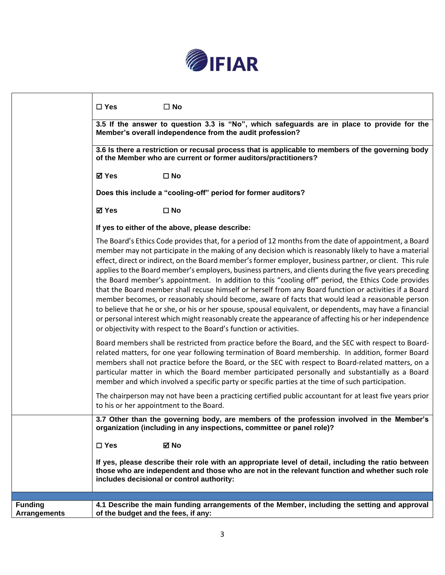

| $\square$ No<br>$\square$ Yes                                                                                                                                                                                                                                                                                                                                                                                                                                                                                                                                                                                                                                                                                                                                                                                                                                                                                                                                                                                                                           |
|---------------------------------------------------------------------------------------------------------------------------------------------------------------------------------------------------------------------------------------------------------------------------------------------------------------------------------------------------------------------------------------------------------------------------------------------------------------------------------------------------------------------------------------------------------------------------------------------------------------------------------------------------------------------------------------------------------------------------------------------------------------------------------------------------------------------------------------------------------------------------------------------------------------------------------------------------------------------------------------------------------------------------------------------------------|
| 3.5 If the answer to question 3.3 is "No", which safeguards are in place to provide for the<br>Member's overall independence from the audit profession?                                                                                                                                                                                                                                                                                                                                                                                                                                                                                                                                                                                                                                                                                                                                                                                                                                                                                                 |
| 3.6 Is there a restriction or recusal process that is applicable to members of the governing body<br>of the Member who are current or former auditors/practitioners?                                                                                                                                                                                                                                                                                                                                                                                                                                                                                                                                                                                                                                                                                                                                                                                                                                                                                    |
| <b>⊠</b> Yes<br>$\square$ No                                                                                                                                                                                                                                                                                                                                                                                                                                                                                                                                                                                                                                                                                                                                                                                                                                                                                                                                                                                                                            |
| Does this include a "cooling-off" period for former auditors?                                                                                                                                                                                                                                                                                                                                                                                                                                                                                                                                                                                                                                                                                                                                                                                                                                                                                                                                                                                           |
| <b>⊠</b> Yes<br>$\square$ No                                                                                                                                                                                                                                                                                                                                                                                                                                                                                                                                                                                                                                                                                                                                                                                                                                                                                                                                                                                                                            |
| If yes to either of the above, please describe:                                                                                                                                                                                                                                                                                                                                                                                                                                                                                                                                                                                                                                                                                                                                                                                                                                                                                                                                                                                                         |
| The Board's Ethics Code provides that, for a period of 12 months from the date of appointment, a Board<br>member may not participate in the making of any decision which is reasonably likely to have a material<br>effect, direct or indirect, on the Board member's former employer, business partner, or client. This rule<br>applies to the Board member's employers, business partners, and clients during the five years preceding<br>the Board member's appointment. In addition to this "cooling off" period, the Ethics Code provides<br>that the Board member shall recuse himself or herself from any Board function or activities if a Board<br>member becomes, or reasonably should become, aware of facts that would lead a reasonable person<br>to believe that he or she, or his or her spouse, spousal equivalent, or dependents, may have a financial<br>or personal interest which might reasonably create the appearance of affecting his or her independence<br>or objectivity with respect to the Board's function or activities. |
| Board members shall be restricted from practice before the Board, and the SEC with respect to Board-<br>related matters, for one year following termination of Board membership. In addition, former Board<br>members shall not practice before the Board, or the SEC with respect to Board-related matters, on a<br>particular matter in which the Board member participated personally and substantially as a Board<br>member and which involved a specific party or specific parties at the time of such participation.                                                                                                                                                                                                                                                                                                                                                                                                                                                                                                                              |
| The chairperson may not have been a practicing certified public accountant for at least five years prior<br>to his or her appointment to the Board.                                                                                                                                                                                                                                                                                                                                                                                                                                                                                                                                                                                                                                                                                                                                                                                                                                                                                                     |
| 3.7 Other than the governing body, are members of the profession involved in the Member's<br>organization (including in any inspections, committee or panel role)?                                                                                                                                                                                                                                                                                                                                                                                                                                                                                                                                                                                                                                                                                                                                                                                                                                                                                      |
| $\square$ Yes<br>⊠ No                                                                                                                                                                                                                                                                                                                                                                                                                                                                                                                                                                                                                                                                                                                                                                                                                                                                                                                                                                                                                                   |
| If yes, please describe their role with an appropriate level of detail, including the ratio between<br>those who are independent and those who are not in the relevant function and whether such role<br>includes decisional or control authority:                                                                                                                                                                                                                                                                                                                                                                                                                                                                                                                                                                                                                                                                                                                                                                                                      |
|                                                                                                                                                                                                                                                                                                                                                                                                                                                                                                                                                                                                                                                                                                                                                                                                                                                                                                                                                                                                                                                         |
| 4.1 Describe the main funding arrangements of the Member, including the setting and approval<br>of the budget and the fees, if any:                                                                                                                                                                                                                                                                                                                                                                                                                                                                                                                                                                                                                                                                                                                                                                                                                                                                                                                     |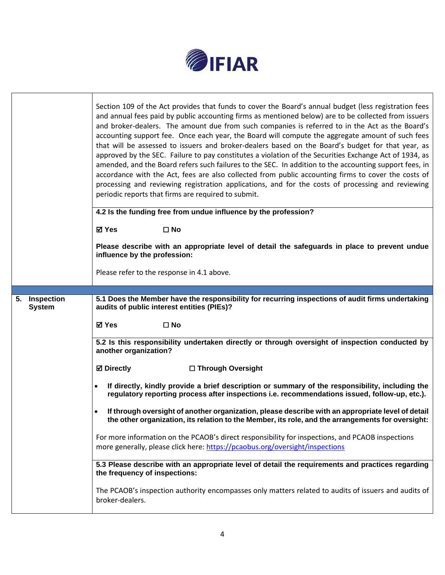

|                                | Section 109 of the Act provides that funds to cover the Board's annual budget (less registration fees<br>and annual fees paid by public accounting firms as mentioned below) are to be collected from issuers<br>and broker-dealers. The amount due from such companies is referred to in the Act as the Board's<br>accounting support fee. Once each year, the Board will compute the aggregate amount of such fees<br>that will be assessed to issuers and broker-dealers based on the Board's budget for that year, as<br>approved by the SEC. Failure to pay constitutes a violation of the Securities Exchange Act of 1934, as<br>amended, and the Board refers such failures to the SEC. In addition to the accounting support fees, in<br>accordance with the Act, fees are also collected from public accounting firms to cover the costs of<br>processing and reviewing registration applications, and for the costs of processing and reviewing<br>periodic reports that firms are required to submit. |  |  |
|--------------------------------|------------------------------------------------------------------------------------------------------------------------------------------------------------------------------------------------------------------------------------------------------------------------------------------------------------------------------------------------------------------------------------------------------------------------------------------------------------------------------------------------------------------------------------------------------------------------------------------------------------------------------------------------------------------------------------------------------------------------------------------------------------------------------------------------------------------------------------------------------------------------------------------------------------------------------------------------------------------------------------------------------------------|--|--|
|                                | 4.2 Is the funding free from undue influence by the profession?<br><b>⊠</b> Yes<br>$\square$ No                                                                                                                                                                                                                                                                                                                                                                                                                                                                                                                                                                                                                                                                                                                                                                                                                                                                                                                  |  |  |
|                                | Please describe with an appropriate level of detail the safeguards in place to prevent undue<br>influence by the profession:                                                                                                                                                                                                                                                                                                                                                                                                                                                                                                                                                                                                                                                                                                                                                                                                                                                                                     |  |  |
|                                | Please refer to the response in 4.1 above.                                                                                                                                                                                                                                                                                                                                                                                                                                                                                                                                                                                                                                                                                                                                                                                                                                                                                                                                                                       |  |  |
|                                |                                                                                                                                                                                                                                                                                                                                                                                                                                                                                                                                                                                                                                                                                                                                                                                                                                                                                                                                                                                                                  |  |  |
| 5. Inspection<br><b>System</b> | 5.1 Does the Member have the responsibility for recurring inspections of audit firms undertaking<br>audits of public interest entities (PIEs)?                                                                                                                                                                                                                                                                                                                                                                                                                                                                                                                                                                                                                                                                                                                                                                                                                                                                   |  |  |
|                                | ⊠ Yes<br>$\square$ No                                                                                                                                                                                                                                                                                                                                                                                                                                                                                                                                                                                                                                                                                                                                                                                                                                                                                                                                                                                            |  |  |
|                                | 5.2 Is this responsibility undertaken directly or through oversight of inspection conducted by<br>another organization?                                                                                                                                                                                                                                                                                                                                                                                                                                                                                                                                                                                                                                                                                                                                                                                                                                                                                          |  |  |
|                                | <b>⊠</b> Directly<br>□ Through Oversight                                                                                                                                                                                                                                                                                                                                                                                                                                                                                                                                                                                                                                                                                                                                                                                                                                                                                                                                                                         |  |  |
|                                | If directly, kindly provide a brief description or summary of the responsibility, including the<br>$\bullet$<br>regulatory reporting process after inspections i.e. recommendations issued, follow-up, etc.).                                                                                                                                                                                                                                                                                                                                                                                                                                                                                                                                                                                                                                                                                                                                                                                                    |  |  |
|                                | If through oversight of another organization, please describe with an appropriate level of detail<br>$\bullet$<br>the other organization, its relation to the Member, its role, and the arrangements for oversight:                                                                                                                                                                                                                                                                                                                                                                                                                                                                                                                                                                                                                                                                                                                                                                                              |  |  |
|                                | For more information on the PCAOB's direct responsibility for inspections, and PCAOB inspections<br>more generally, please click here: https://pcaobus.org/oversight/inspections                                                                                                                                                                                                                                                                                                                                                                                                                                                                                                                                                                                                                                                                                                                                                                                                                                 |  |  |
|                                | 5.3 Please describe with an appropriate level of detail the requirements and practices regarding<br>the frequency of inspections:                                                                                                                                                                                                                                                                                                                                                                                                                                                                                                                                                                                                                                                                                                                                                                                                                                                                                |  |  |
|                                | The PCAOB's inspection authority encompasses only matters related to audits of issuers and audits of<br>broker-dealers.                                                                                                                                                                                                                                                                                                                                                                                                                                                                                                                                                                                                                                                                                                                                                                                                                                                                                          |  |  |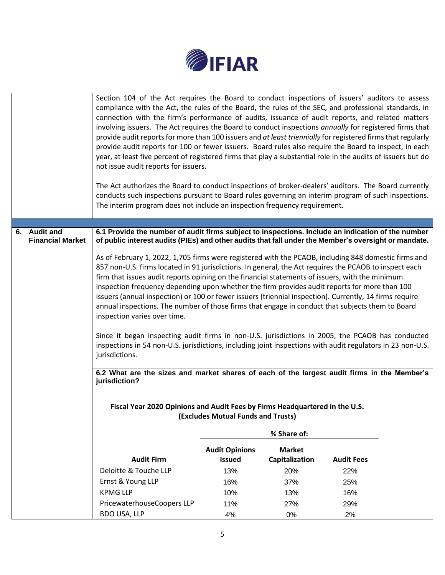

|                                         | Section 104 of the Act requires the Board to conduct inspections of issuers' auditors to assess<br>compliance with the Act, the rules of the Board, the rules of the SEC, and professional standards, in<br>connection with the firm's performance of audits, issuance of audit reports, and related matters<br>involving issuers. The Act requires the Board to conduct inspections annually for registered firms that<br>provide audit reports for more than 100 issuers and at least triennially for registered firms that regularly<br>provide audit reports for 100 or fewer issuers. Board rules also require the Board to inspect, in each<br>year, at least five percent of registered firms that play a substantial role in the audits of issuers but do<br>not issue audit reports for issuers.<br>The Act authorizes the Board to conduct inspections of broker-dealers' auditors. The Board currently<br>conducts such inspections pursuant to Board rules governing an interim program of such inspections.<br>The interim program does not include an inspection frequency requirement. |                       |                |                   |  |
|-----------------------------------------|-------------------------------------------------------------------------------------------------------------------------------------------------------------------------------------------------------------------------------------------------------------------------------------------------------------------------------------------------------------------------------------------------------------------------------------------------------------------------------------------------------------------------------------------------------------------------------------------------------------------------------------------------------------------------------------------------------------------------------------------------------------------------------------------------------------------------------------------------------------------------------------------------------------------------------------------------------------------------------------------------------------------------------------------------------------------------------------------------------|-----------------------|----------------|-------------------|--|
|                                         |                                                                                                                                                                                                                                                                                                                                                                                                                                                                                                                                                                                                                                                                                                                                                                                                                                                                                                                                                                                                                                                                                                       |                       |                |                   |  |
| 6. Audit and<br><b>Financial Market</b> | 6.1 Provide the number of audit firms subject to inspections. Include an indication of the number                                                                                                                                                                                                                                                                                                                                                                                                                                                                                                                                                                                                                                                                                                                                                                                                                                                                                                                                                                                                     |                       |                |                   |  |
|                                         | of public interest audits (PIEs) and other audits that fall under the Member's oversight or mandate.<br>As of February 1, 2022, 1,705 firms were registered with the PCAOB, including 848 domestic firms and                                                                                                                                                                                                                                                                                                                                                                                                                                                                                                                                                                                                                                                                                                                                                                                                                                                                                          |                       |                |                   |  |
|                                         | 857 non-U.S. firms located in 91 jurisdictions. In general, the Act requires the PCAOB to inspect each                                                                                                                                                                                                                                                                                                                                                                                                                                                                                                                                                                                                                                                                                                                                                                                                                                                                                                                                                                                                |                       |                |                   |  |
|                                         | firm that issues audit reports opining on the financial statements of issuers, with the minimum<br>inspection frequency depending upon whether the firm provides audit reports for more than 100                                                                                                                                                                                                                                                                                                                                                                                                                                                                                                                                                                                                                                                                                                                                                                                                                                                                                                      |                       |                |                   |  |
|                                         | issuers (annual inspection) or 100 or fewer issuers (triennial inspection). Currently, 14 firms require                                                                                                                                                                                                                                                                                                                                                                                                                                                                                                                                                                                                                                                                                                                                                                                                                                                                                                                                                                                               |                       |                |                   |  |
|                                         | annual inspections. The number of those firms that engage in conduct that subjects them to Board                                                                                                                                                                                                                                                                                                                                                                                                                                                                                                                                                                                                                                                                                                                                                                                                                                                                                                                                                                                                      |                       |                |                   |  |
|                                         | inspection varies over time.                                                                                                                                                                                                                                                                                                                                                                                                                                                                                                                                                                                                                                                                                                                                                                                                                                                                                                                                                                                                                                                                          |                       |                |                   |  |
|                                         |                                                                                                                                                                                                                                                                                                                                                                                                                                                                                                                                                                                                                                                                                                                                                                                                                                                                                                                                                                                                                                                                                                       |                       |                |                   |  |
|                                         | Since it began inspecting audit firms in non-U.S. jurisdictions in 2005, the PCAOB has conducted<br>inspections in 54 non-U.S. jurisdictions, including joint inspections with audit regulators in 23 non-U.S.                                                                                                                                                                                                                                                                                                                                                                                                                                                                                                                                                                                                                                                                                                                                                                                                                                                                                        |                       |                |                   |  |
|                                         | jurisdictions.                                                                                                                                                                                                                                                                                                                                                                                                                                                                                                                                                                                                                                                                                                                                                                                                                                                                                                                                                                                                                                                                                        |                       |                |                   |  |
|                                         |                                                                                                                                                                                                                                                                                                                                                                                                                                                                                                                                                                                                                                                                                                                                                                                                                                                                                                                                                                                                                                                                                                       |                       |                |                   |  |
|                                         | 6.2 What are the sizes and market shares of each of the largest audit firms in the Member's<br>jurisdiction?                                                                                                                                                                                                                                                                                                                                                                                                                                                                                                                                                                                                                                                                                                                                                                                                                                                                                                                                                                                          |                       |                |                   |  |
|                                         |                                                                                                                                                                                                                                                                                                                                                                                                                                                                                                                                                                                                                                                                                                                                                                                                                                                                                                                                                                                                                                                                                                       |                       |                |                   |  |
|                                         |                                                                                                                                                                                                                                                                                                                                                                                                                                                                                                                                                                                                                                                                                                                                                                                                                                                                                                                                                                                                                                                                                                       |                       |                |                   |  |
|                                         | Fiscal Year 2020 Opinions and Audit Fees by Firms Headquartered in the U.S.<br>(Excludes Mutual Funds and Trusts)                                                                                                                                                                                                                                                                                                                                                                                                                                                                                                                                                                                                                                                                                                                                                                                                                                                                                                                                                                                     |                       |                |                   |  |
|                                         |                                                                                                                                                                                                                                                                                                                                                                                                                                                                                                                                                                                                                                                                                                                                                                                                                                                                                                                                                                                                                                                                                                       |                       |                |                   |  |
|                                         | % Share of:                                                                                                                                                                                                                                                                                                                                                                                                                                                                                                                                                                                                                                                                                                                                                                                                                                                                                                                                                                                                                                                                                           |                       |                |                   |  |
|                                         |                                                                                                                                                                                                                                                                                                                                                                                                                                                                                                                                                                                                                                                                                                                                                                                                                                                                                                                                                                                                                                                                                                       | <b>Audit Opinions</b> | <b>Market</b>  |                   |  |
|                                         | <b>Audit Firm</b>                                                                                                                                                                                                                                                                                                                                                                                                                                                                                                                                                                                                                                                                                                                                                                                                                                                                                                                                                                                                                                                                                     | <b>Issued</b>         | Capitalization | <b>Audit Fees</b> |  |
|                                         | Deloitte & Touche LLP                                                                                                                                                                                                                                                                                                                                                                                                                                                                                                                                                                                                                                                                                                                                                                                                                                                                                                                                                                                                                                                                                 | 13%                   | 20%            | 22%               |  |
|                                         | Ernst & Young LLP                                                                                                                                                                                                                                                                                                                                                                                                                                                                                                                                                                                                                                                                                                                                                                                                                                                                                                                                                                                                                                                                                     | 16%                   | 37%            | 25%               |  |
|                                         | <b>KPMG LLP</b>                                                                                                                                                                                                                                                                                                                                                                                                                                                                                                                                                                                                                                                                                                                                                                                                                                                                                                                                                                                                                                                                                       | 10%                   | 13%            | 16%               |  |
|                                         | PricewaterhouseCoopers LLP                                                                                                                                                                                                                                                                                                                                                                                                                                                                                                                                                                                                                                                                                                                                                                                                                                                                                                                                                                                                                                                                            | 11%                   | 27%            | 29%               |  |
|                                         | BDO USA, LLP                                                                                                                                                                                                                                                                                                                                                                                                                                                                                                                                                                                                                                                                                                                                                                                                                                                                                                                                                                                                                                                                                          | 4%                    | $0\%$          | 2%                |  |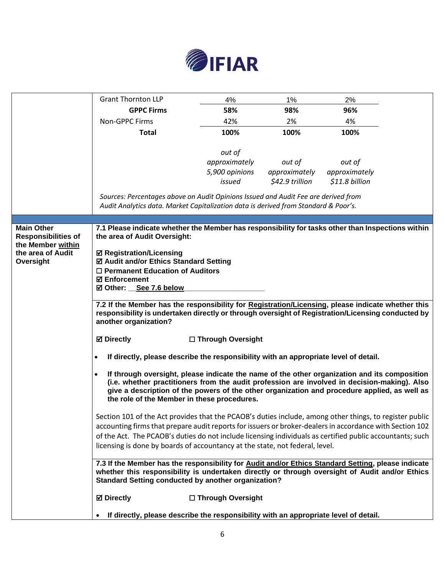

|                                                 | <b>Grant Thornton LLP</b>                                                                                                                                    | 4%                                                                                   | 1%                               | 2%                              |  |
|-------------------------------------------------|--------------------------------------------------------------------------------------------------------------------------------------------------------------|--------------------------------------------------------------------------------------|----------------------------------|---------------------------------|--|
|                                                 | <b>GPPC Firms</b>                                                                                                                                            | 58%                                                                                  | 98%                              | 96%                             |  |
|                                                 | <b>Non-GPPC Firms</b>                                                                                                                                        | 42%                                                                                  | 2%                               | 4%                              |  |
|                                                 | <b>Total</b>                                                                                                                                                 | 100%                                                                                 | 100%                             | 100%                            |  |
|                                                 |                                                                                                                                                              |                                                                                      |                                  |                                 |  |
|                                                 |                                                                                                                                                              | out of                                                                               |                                  |                                 |  |
|                                                 |                                                                                                                                                              | approximately                                                                        | out of                           | out of                          |  |
|                                                 |                                                                                                                                                              | 5,900 opinions<br>issued                                                             | approximately<br>\$42.9 trillion | approximately<br>\$11.8 billion |  |
|                                                 |                                                                                                                                                              |                                                                                      |                                  |                                 |  |
|                                                 | Sources: Percentages above on Audit Opinions Issued and Audit Fee are derived from                                                                           |                                                                                      |                                  |                                 |  |
|                                                 | Audit Analytics data. Market Capitalization data is derived from Standard & Poor's.                                                                          |                                                                                      |                                  |                                 |  |
|                                                 |                                                                                                                                                              |                                                                                      |                                  |                                 |  |
| <b>Main Other</b><br><b>Responsibilities of</b> | 7.1 Please indicate whether the Member has responsibility for tasks other than Inspections within<br>the area of Audit Oversight:                            |                                                                                      |                                  |                                 |  |
| the Member within                               |                                                                                                                                                              |                                                                                      |                                  |                                 |  |
| the area of Audit                               | <b>Ø Registration/Licensing</b>                                                                                                                              |                                                                                      |                                  |                                 |  |
| Oversight                                       | ☑ Audit and/or Ethics Standard Setting                                                                                                                       |                                                                                      |                                  |                                 |  |
|                                                 |                                                                                                                                                              | $\Box$ Permanent Education of Auditors                                               |                                  |                                 |  |
|                                                 | ☑ Other: See 7.6 below                                                                                                                                       | <b>⊠</b> Enforcement                                                                 |                                  |                                 |  |
|                                                 |                                                                                                                                                              |                                                                                      |                                  |                                 |  |
|                                                 | 7.2 If the Member has the responsibility for Registration/Licensing, please indicate whether this                                                            |                                                                                      |                                  |                                 |  |
|                                                 | responsibility is undertaken directly or through oversight of Registration/Licensing conducted by<br>another organization?                                   |                                                                                      |                                  |                                 |  |
|                                                 |                                                                                                                                                              |                                                                                      |                                  |                                 |  |
|                                                 | <b>Ø</b> Directly                                                                                                                                            | □ Through Oversight                                                                  |                                  |                                 |  |
|                                                 |                                                                                                                                                              | If directly, please describe the responsibility with an appropriate level of detail. |                                  |                                 |  |
|                                                 | $\bullet$                                                                                                                                                    |                                                                                      |                                  |                                 |  |
|                                                 | If through oversight, please indicate the name of the other organization and its composition                                                                 |                                                                                      |                                  |                                 |  |
|                                                 | (i.e. whether practitioners from the audit profession are involved in decision-making). Also                                                                 |                                                                                      |                                  |                                 |  |
|                                                 | give a description of the powers of the other organization and procedure applied, as well as                                                                 |                                                                                      |                                  |                                 |  |
|                                                 | the role of the Member in these procedures.                                                                                                                  |                                                                                      |                                  |                                 |  |
|                                                 | Section 101 of the Act provides that the PCAOB's duties include, among other things, to register public                                                      |                                                                                      |                                  |                                 |  |
|                                                 | accounting firms that prepare audit reports for issuers or broker-dealers in accordance with Section 102                                                     |                                                                                      |                                  |                                 |  |
|                                                 | of the Act. The PCAOB's duties do not include licensing individuals as certified public accountants; such                                                    |                                                                                      |                                  |                                 |  |
|                                                 | licensing is done by boards of accountancy at the state, not federal, level.                                                                                 |                                                                                      |                                  |                                 |  |
|                                                 |                                                                                                                                                              |                                                                                      |                                  |                                 |  |
|                                                 | 7.3 If the Member has the responsibility for Audit and/or Ethics Standard Setting, please indicate                                                           |                                                                                      |                                  |                                 |  |
|                                                 | whether this responsibility is undertaken directly or through oversight of Audit and/or Ethics<br><b>Standard Setting conducted by another organization?</b> |                                                                                      |                                  |                                 |  |
|                                                 | <b>☑</b> Directly                                                                                                                                            | □ Through Oversight                                                                  |                                  |                                 |  |
|                                                 | If directly, please describe the responsibility with an appropriate level of detail.                                                                         |                                                                                      |                                  |                                 |  |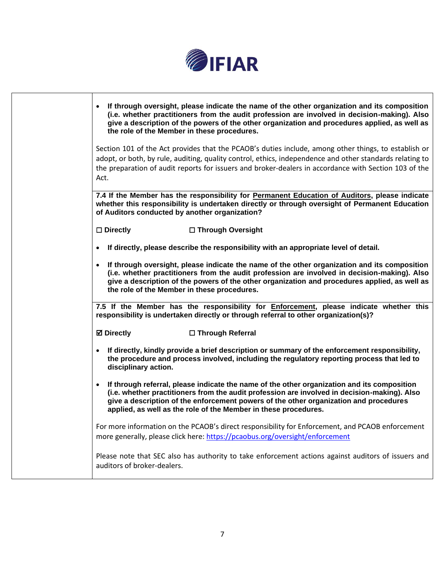

| If through oversight, please indicate the name of the other organization and its composition<br>$\bullet$<br>(i.e. whether practitioners from the audit profession are involved in decision-making). Also<br>give a description of the powers of the other organization and procedures applied, as well as<br>the role of the Member in these procedures.            |
|----------------------------------------------------------------------------------------------------------------------------------------------------------------------------------------------------------------------------------------------------------------------------------------------------------------------------------------------------------------------|
| Section 101 of the Act provides that the PCAOB's duties include, among other things, to establish or<br>adopt, or both, by rule, auditing, quality control, ethics, independence and other standards relating to<br>the preparation of audit reports for issuers and broker-dealers in accordance with Section 103 of the<br>Act.                                    |
| 7.4 If the Member has the responsibility for Permanent Education of Auditors, please indicate<br>whether this responsibility is undertaken directly or through oversight of Permanent Education<br>of Auditors conducted by another organization?                                                                                                                    |
| $\square$ Directly<br>□ Through Oversight                                                                                                                                                                                                                                                                                                                            |
| If directly, please describe the responsibility with an appropriate level of detail.                                                                                                                                                                                                                                                                                 |
| If through oversight, please indicate the name of the other organization and its composition<br>$\bullet$<br>(i.e. whether practitioners from the audit profession are involved in decision-making). Also<br>give a description of the powers of the other organization and procedures applied, as well as<br>the role of the Member in these procedures.            |
| 7.5 If the Member has the responsibility for <i>Enforcement</i> , please indicate whether this<br>responsibility is undertaken directly or through referral to other organization(s)?                                                                                                                                                                                |
| <b>☑ Directly</b><br>□ Through Referral                                                                                                                                                                                                                                                                                                                              |
| If directly, kindly provide a brief description or summary of the enforcement responsibility,<br>$\bullet$<br>the procedure and process involved, including the regulatory reporting process that led to<br>disciplinary action.                                                                                                                                     |
| If through referral, please indicate the name of the other organization and its composition<br>$\bullet$<br>(i.e. whether practitioners from the audit profession are involved in decision-making). Also<br>give a description of the enforcement powers of the other organization and procedures<br>applied, as well as the role of the Member in these procedures. |
| For more information on the PCAOB's direct responsibility for Enforcement, and PCAOB enforcement<br>more generally, please click here: https://pcaobus.org/oversight/enforcement                                                                                                                                                                                     |
| Please note that SEC also has authority to take enforcement actions against auditors of issuers and<br>auditors of broker-dealers.                                                                                                                                                                                                                                   |